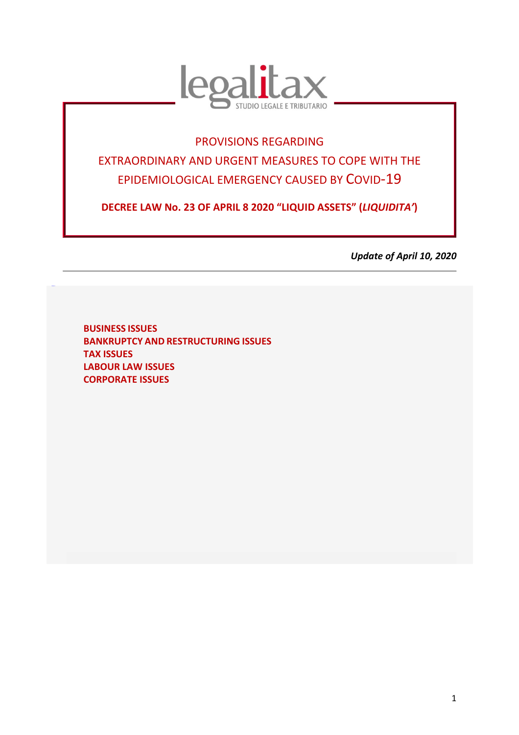

# PROVISIONS REGARDING

EXTRAORDINARY AND URGENT MEASURES TO COPE WITH THE EPIDEMIOLOGICAL EMERGENCY CAUSED BY COVID-19

**DECREE LAW No. 23 OF APRIL 8 2020 "LIQUID ASSETS" (***LIQUIDITA'***)** 

*Update of April 10, 2020* 

**BUSINESS ISSUES BANKRUPTCY AND RESTRUCTURING ISSUES TAX ISSUES LABOUR LAW ISSUES CORPORATE ISSUES** 

TORNAS **U**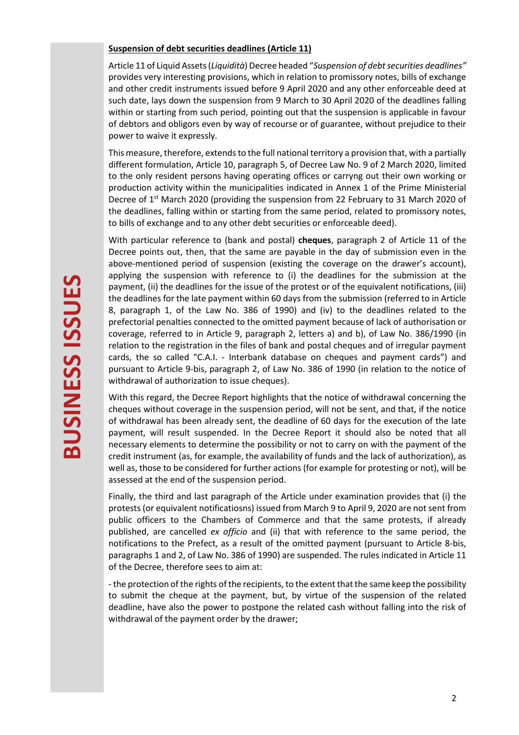#### **Suspension of debt securities deadlines (Article 11)**

Article 11 of Liquid Assets (*Liquidità*) Decree headed "*Suspension of debt securities deadlines"*  provides very interesting provisions, which in relation to promissory notes, bills of exchange and other credit instruments issued before 9 April 2020 and any other enforceable deed at such date, lays down the suspension from 9 March to 30 April 2020 of the deadlines falling within or starting from such period, pointing out that the suspension is applicable in favour of debtors and obligors even by way of recourse or of guarantee, without prejudice to their power to waive it expressly.

This measure, therefore, extends to the full national territory a provision that, with a partially different formulation, Article 10, paragraph 5, of Decree Law No. 9 of 2 March 2020, limited to the only resident persons having operating offices or carryng out their own working or production activity within the municipalities indicated in Annex 1 of the Prime Ministerial Decree of 1<sup>st</sup> March 2020 (providing the suspension from 22 February to 31 March 2020 of the deadlines, falling within or starting from the same period, related to promissory notes, to bills of exchange and to any other debt securities or enforceable deed).

With particular reference to (bank and postal) **cheques**, paragraph 2 of Article 11 of the Decree points out, then, that the same are payable in the day of submission even in the above-mentioned period of suspension (existing the coverage on the drawer's account), applying the suspension with reference to (i) the deadlines for the submission at the payment, (ii) the deadlines for the issue of the protest or of the equivalent notifications, (iii) the deadlines for the late payment within 60 days from the submission (referred to in Article 8, paragraph 1, of the Law No. 386 of 1990) and (iv) to the deadlines related to the prefectorial penalties connected to the omitted payment because of lack of authorisation or coverage, referred to in Article 9, paragraph 2, letters a) and b), of Law No. 386/1990 (in relation to the registration in the files of bank and postal cheques and of irregular payment cards, the so called "C.A.I. - Interbank database on cheques and payment cards") and pursuant to Article 9-bis, paragraph 2, of Law No. 386 of 1990 (in relation to the notice of withdrawal of authorization to issue cheques).

With this regard, the Decree Report highlights that the notice of withdrawal concerning the cheques without coverage in the suspension period, will not be sent, and that, if the notice of withdrawal has been already sent, the deadline of 60 days for the execution of the late payment, will result suspended. In the Decree Report it should also be noted that all necessary elements to determine the possibility or not to carry on with the payment of the credit instrument (as, for example, the availability of funds and the lack of authorization), as well as, those to be considered for further actions (for example for protesting or not), will be assessed at the end of the suspension period.

Finally, the third and last paragraph of the Article under examination provides that (i) the protests (or equivalent notificatiosns) issued from March 9 to April 9, 2020 are not sent from public officers to the Chambers of Commerce and that the same protests, if already published, are cancelled *ex officio* and (ii) that with reference to the same period, the notifications to the Prefect, as a result of the omitted payment (pursuant to Article 8-bis, paragraphs 1 and 2, of Law No. 386 of 1990) are suspended. The rules indicated in Article 11 of the Decree, therefore sees to aim at:

- the protection of the rights of the recipients, to the extent that the same keep the possibility to submit the cheque at the payment, but, by virtue of the suspension of the related deadline, have also the power to postpone the related cash without falling into the risk of withdrawal of the payment order by the drawer;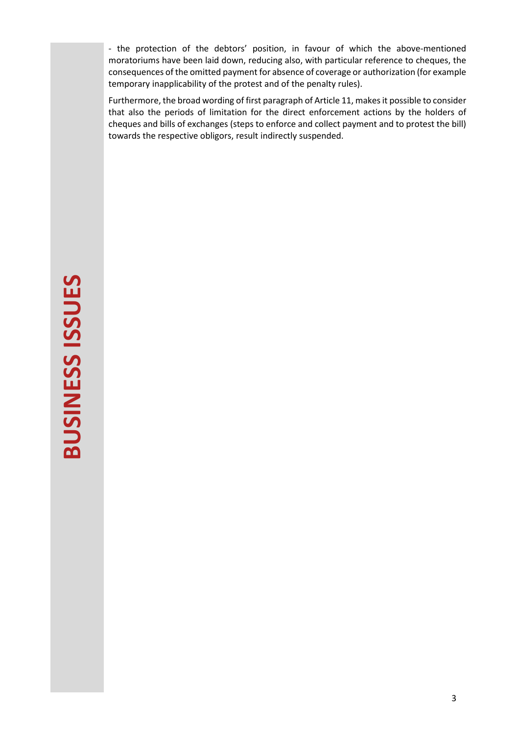- the protection of the debtors' position, in favour of which the above-mentioned moratoriums have been laid down, reducing also, with particular reference to cheques, the consequences of the omitted payment for absence of coverage or authorization (for example temporary inapplicability of the protest and of the penalty rules).

Furthermore, the broad wording of first paragraph of Article 11, makes it possible to consider that also the periods of limitation for the direct enforcement actions by the holders of cheques and bills of exchanges (steps to enforce and collect payment and to protest the bill) towards the respective obligors, result indirectly suspended.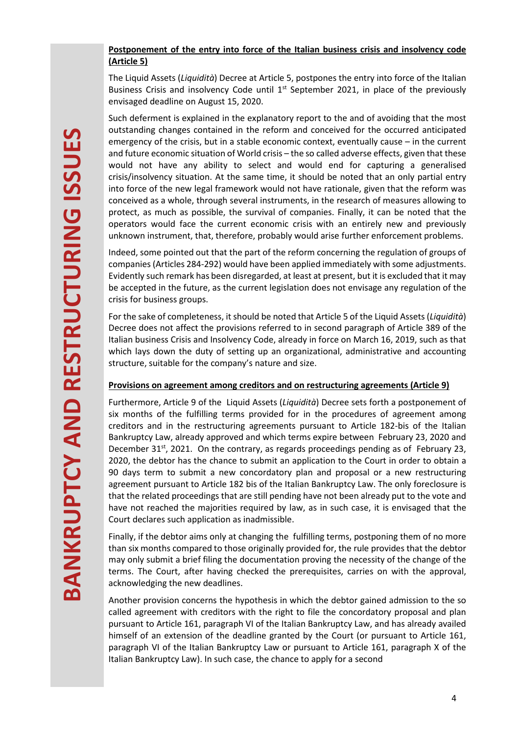# **Postponement of the entry into force of the Italian business crisis and insolvency code (Article 5)**

The Liquid Assets (*Liquidità*) Decree at Article 5, postpones the entry into force of the Italian Business Crisis and insolvency Code until  $1<sup>st</sup>$  September 2021, in place of the previously envisaged deadline on August 15, 2020.

Such deferment is explained in the explanatory report to the and of avoiding that the most outstanding changes contained in the reform and conceived for the occurred anticipated emergency of the crisis, but in a stable economic context, eventually cause – in the current and future economic situation of World crisis – the so called adverse effects, given that these would not have any ability to select and would end for capturing a generalised crisis/insolvency situation. At the same time, it should be noted that an only partial entry into force of the new legal framework would not have rationale, given that the reform was conceived as a whole, through several instruments, in the research of measures allowing to protect, as much as possible, the survival of companies. Finally, it can be noted that the operators would face the current economic crisis with an entirely new and previously unknown instrument, that, therefore, probably would arise further enforcement problems.

Indeed, some pointed out that the part of the reform concerning the regulation of groups of companies (Articles 284-292) would have been applied immediately with some adjustments. Evidently such remark has been disregarded, at least at present, but it is excluded that it may be accepted in the future, as the current legislation does not envisage any regulation of the crisis for business groups.

For the sake of completeness, it should be noted that Article 5 of the Liquid Assets (*Liquidità*) Decree does not affect the provisions referred to in second paragraph of Article 389 of the Italian business Crisis and Insolvency Code, already in force on March 16, 2019, such as that which lays down the duty of setting up an organizational, administrative and accounting structure, suitable for the company's nature and size.

# **Provisions on agreement among creditors and on restructuring agreements (Article 9)**

Furthermore, Article 9 of the Liquid Assets (*Liquidità*) Decree sets forth a postponement of six months of the fulfilling terms provided for in the procedures of agreement among creditors and in the restructuring agreements pursuant to Article 182-bis of the Italian Bankruptcy Law, already approved and which terms expire between February 23, 2020 and December  $31<sup>st</sup>$ , 2021. On the contrary, as regards proceedings pending as of February 23, 2020, the debtor has the chance to submit an application to the Court in order to obtain a 90 days term to submit a new concordatory plan and proposal or a new restructuring agreement pursuant to Article 182 bis of the Italian Bankruptcy Law. The only foreclosure is that the related proceedings that are still pending have not been already put to the vote and have not reached the majorities required by law, as in such case, it is envisaged that the Court declares such application as inadmissible.

Finally, if the debtor aims only at changing the fulfilling terms, postponing them of no more than six months compared to those originally provided for, the rule provides that the debtor may only submit a brief filing the documentation proving the necessity of the change of the terms. The Court, after having checked the prerequisites, carries on with the approval, acknowledging the new deadlines.

Another provision concerns the hypothesis in which the debtor gained admission to the so called agreement with creditors with the right to file the concordatory proposal and plan pursuant to Article 161, paragraph VI of the Italian Bankruptcy Law, and has already availed himself of an extension of the deadline granted by the Court (or pursuant to Article 161, paragraph VI of the Italian Bankruptcy Law or pursuant to Article 161, paragraph X of the Italian Bankruptcy Law). In such case, the chance to apply for a second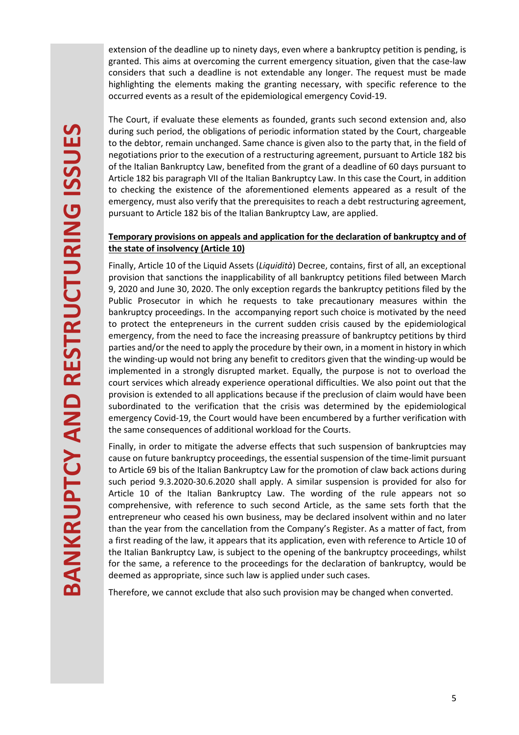extension of the deadline up to ninety days, even where a bankruptcy petition is pending, is granted. This aims at overcoming the current emergency situation, given that the case-law considers that such a deadline is not extendable any longer. The request must be made highlighting the elements making the granting necessary, with specific reference to the occurred events as a result of the epidemiological emergency Covid-19.

The Court, if evaluate these elements as founded, grants such second extension and, also during such period, the obligations of periodic information stated by the Court, chargeable to the debtor, remain unchanged. Same chance is given also to the party that, in the field of negotiations prior to the execution of a restructuring agreement, pursuant to Article 182 bis of the Italian Bankruptcy Law, benefited from the grant of a deadline of 60 days pursuant to Article 182 bis paragraph VII of the Italian Bankruptcy Law. In this case the Court, in addition to checking the existence of the aforementioned elements appeared as a result of the emergency, must also verify that the prerequisites to reach a debt restructuring agreement, pursuant to Article 182 bis of the Italian Bankruptcy Law, are applied.

## **Temporary provisions on appeals and application for the declaration of bankruptcy and of the state of insolvency (Article 10)**

Finally, Article 10 of the Liquid Assets (*Liquidità*) Decree, contains, first of all, an exceptional provision that sanctions the inapplicability of all bankruptcy petitions filed between March 9, 2020 and June 30, 2020. The only exception regards the bankruptcy petitions filed by the Public Prosecutor in which he requests to take precautionary measures within the bankruptcy proceedings. In the accompanying report such choice is motivated by the need to protect the entepreneurs in the current sudden crisis caused by the epidemiological emergency, from the need to face the increasing preassure of bankruptcy petitions by third parties and/or the need to apply the procedure by their own, in a moment in history in which the winding-up would not bring any benefit to creditors given that the winding-up would be implemented in a strongly disrupted market. Equally, the purpose is not to overload the court services which already experience operational difficulties. We also point out that the provision is extended to all applications because if the preclusion of claim would have been subordinated to the verification that the crisis was determined by the epidemiological emergency Covid-19, the Court would have been encumbered by a further verification with the same consequences of additional workload for the Courts.

Finally, in order to mitigate the adverse effects that such suspension of bankruptcies may cause on future bankruptcy proceedings, the essential suspension of the time-limit pursuant to Article 69 bis of the Italian Bankruptcy Law for the promotion of claw back actions during such period 9.3.2020-30.6.2020 shall apply. A similar suspension is provided for also for Article 10 of the Italian Bankruptcy Law. The wording of the rule appears not so comprehensive, with reference to such second Article, as the same sets forth that the entrepreneur who ceased his own business, may be declared insolvent within and no later than the year from the cancellation from the Company's Register. As a matter of fact, from a first reading of the law, it appears that its application, even with reference to Article 10 of the Italian Bankruptcy Law, is subject to the opening of the bankruptcy proceedings, whilst for the same, a reference to the proceedings for the declaration of bankruptcy, would be deemed as appropriate, since such law is applied under such cases.

Therefore, we cannot exclude that also such provision may be changed when converted.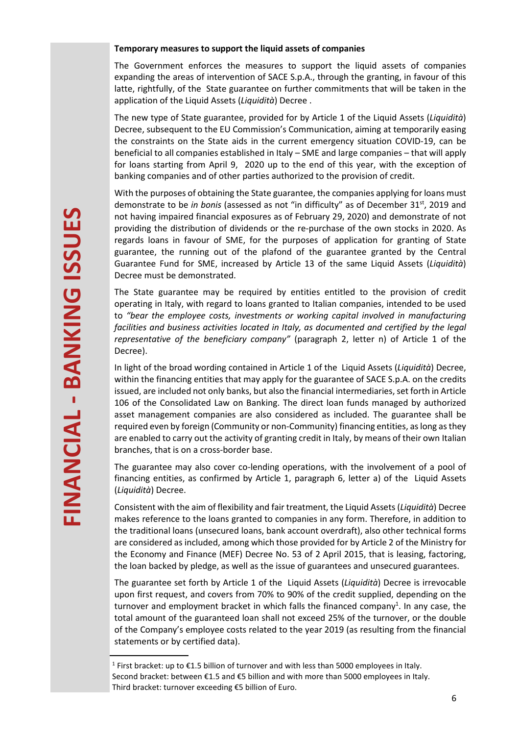#### **Temporary measures to support the liquid assets of companies**

The Government enforces the measures to support the liquid assets of companies expanding the areas of intervention of SACE S.p.A., through the granting, in favour of this latte, rightfully, of the State guarantee on further commitments that will be taken in the application of the Liquid Assets (*Liquidità*) Decree .

The new type of State guarantee, provided for by Article 1 of the Liquid Assets (*Liquidità*) Decree, subsequent to the EU Commission's Communication, aiming at temporarily easing the constraints on the State aids in the current emergency situation COVID-19, can be beneficial to all companies established in Italy – SME and large companies – that will apply for loans starting from April 9, 2020 up to the end of this year, with the exception of banking companies and of other parties authorized to the provision of credit.

With the purposes of obtaining the State guarantee, the companies applying for loans must demonstrate to be *in bonis* (assessed as not "in difficulty" as of December 31<sup>st</sup>, 2019 and not having impaired financial exposures as of February 29, 2020) and demonstrate of not providing the distribution of dividends or the re-purchase of the own stocks in 2020. As regards loans in favour of SME, for the purposes of application for granting of State guarantee, the running out of the plafond of the guarantee granted by the Central Guarantee Fund for SME, increased by Article 13 of the same Liquid Assets (*Liquidità*) Decree must be demonstrated.

The State guarantee may be required by entities entitled to the provision of credit operating in Italy, with regard to loans granted to Italian companies, intended to be used to *"bear the employee costs, investments or working capital involved in manufacturing*  facilities and business activities located in Italy, as documented and certified by the legal *representative of the beneficiary company"* (paragraph 2, letter n) of Article 1 of the Decree).

In light of the broad wording contained in Article 1 of the Liquid Assets (*Liquidità*) Decree, within the financing entities that may apply for the guarantee of SACE S.p.A. on the credits issued, are included not only banks, but also the financial intermediaries, set forth in Article 106 of the Consolidated Law on Banking. The direct loan funds managed by authorized asset management companies are also considered as included. The guarantee shall be required even by foreign (Community or non-Community) financing entities, as long as they are enabled to carry out the activity of granting credit in Italy, by means of their own Italian branches, that is on a cross-border base.

The guarantee may also cover co-lending operations, with the involvement of a pool of financing entities, as confirmed by Article 1, paragraph 6, letter a) of the Liquid Assets (*Liquidità*) Decree.

Consistent with the aim of flexibility and fair treatment, the Liquid Assets (*Liquidità*) Decree makes reference to the loans granted to companies in any form. Therefore, in addition to the traditional loans (unsecured loans, bank account overdraft), also other technical forms are considered as included, among which those provided for by Article 2 of the Ministry for the Economy and Finance (MEF) Decree No. 53 of 2 April 2015, that is leasing, factoring, the loan backed by pledge, as well as the issue of guarantees and unsecured guarantees.

The guarantee set forth by Article 1 of the Liquid Assets (*Liquidità*) Decree is irrevocable upon first request, and covers from 70% to 90% of the credit supplied, depending on the turnover and employment bracket in which falls the financed company<sup>1</sup>. In any case, the total amount of the guaranteed loan shall not exceed 25% of the turnover, or the double of the Company's employee costs related to the year 2019 (as resulting from the financial statements or by certified data).

<sup>&</sup>lt;sup>1</sup> First bracket: up to €1.5 billion of turnover and with less than 5000 employees in Italy. Second bracket: between €1.5 and €5 billion and with more than 5000 employees in Italy. Third bracket: turnover exceeding €5 billion of Euro.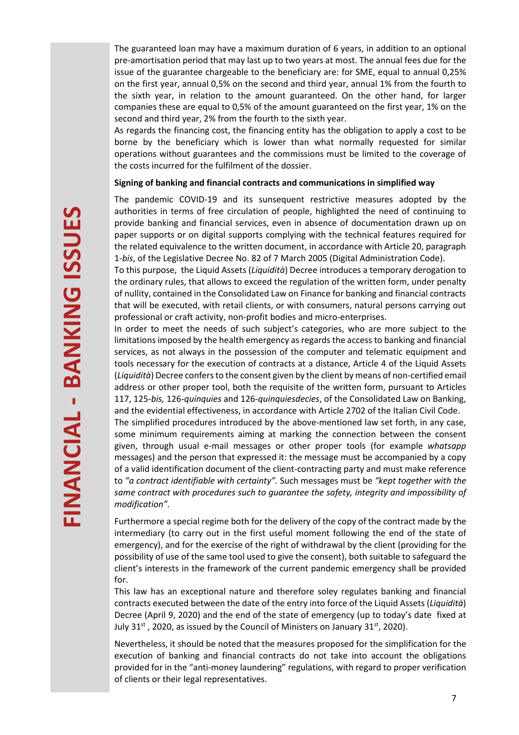The guaranteed loan may have a maximum duration of 6 years, in addition to an optional pre-amortisation period that may last up to two years at most. The annual fees due for the issue of the guarantee chargeable to the beneficiary are: for SME, equal to annual 0,25% on the first year, annual 0,5% on the second and third year, annual 1% from the fourth to the sixth year, in relation to the amount guaranteed. On the other hand, for larger companies these are equal to 0,5% of the amount guaranteed on the first year, 1% on the second and third year, 2% from the fourth to the sixth year.

As regards the financing cost, the financing entity has the obligation to apply a cost to be borne by the beneficiary which is lower than what normally requested for similar operations without guarantees and the commissions must be limited to the coverage of the costs incurred for the fulfilment of the dossier.

#### **Signing of banking and financial contracts and communications in simplified way**

The pandemic COVID-19 and its sunsequent restrictive measures adopted by the authorities in terms of free circulation of people, highlighted the need of continuing to provide banking and financial services, even in absence of documentation drawn up on paper supports or on digital supports complying with the technical features required for the related equivalence to the written document, in accordance with Article 20, paragraph 1-*bis*, of the Legislative Decree No. 82 of 7 March 2005 (Digital Administration Code).

To this purpose, the Liquid Assets (*Liquidità*) Decree introduces a temporary derogation to the ordinary rules, that allows to exceed the regulation of the written form, under penalty of nullity, contained in the Consolidated Law on Finance for banking and financial contracts that will be executed, with retail clients, or with consumers, natural persons carrying out professional or craft activity, non-profit bodies and micro-enterprises.

In order to meet the needs of such subject's categories, who are more subject to the limitations imposed by the health emergency as regards the access to banking and financial services, as not always in the possession of the computer and telematic equipment and tools necessary for the execution of contracts at a distance, Article 4 of the Liquid Assets (*Liquidità*) Decree confers to the consent given by the client by means of non-certified email address or other proper tool, both the requisite of the written form, pursuant to Articles 117, 125-*bis,* 126-*quinquies* and 126-*quinquiesdecies*, of the Consolidated Law on Banking, and the evidential effectiveness, in accordance with Article 2702 of the Italian Civil Code.

The simplified procedures introduced by the above-mentioned law set forth, in any case, some minimum requirements aiming at marking the connection between the consent given, through usual e-mail messages or other proper tools (for example *whatsapp* messages) and the person that expressed it: the message must be accompanied by a copy of a valid identification document of the client-contracting party and must make reference to *"a contract identifiable with certainty".* Such messages must be *"kept together with the same contract with procedures such to guarantee the safety, integrity and impossibility of modification".* 

Furthermore a special regime both for the delivery of the copy of the contract made by the intermediary (to carry out in the first useful moment following the end of the state of emergency), and for the exercise of the right of withdrawal by the client (providing for the possibility of use of the same tool used to give the consent), both suitable to safeguard the client's interests in the framework of the current pandemic emergency shall be provided for.

This law has an exceptional nature and therefore soley regulates banking and financial contracts executed between the date of the entry into force of the Liquid Assets (*Liquidità*) Decree (April 9, 2020) and the end of the state of emergency (up to today's date fixed at July 31 $\mathrm{st}$ , 2020, as issued by the Council of Ministers on January 31 $\mathrm{st}$ , 2020).

Nevertheless, it should be noted that the measures proposed for the simplification for the execution of banking and financial contracts do not take into account the obligations provided for in the "anti-money laundering" regulations, with regard to proper verification of clients or their legal representatives.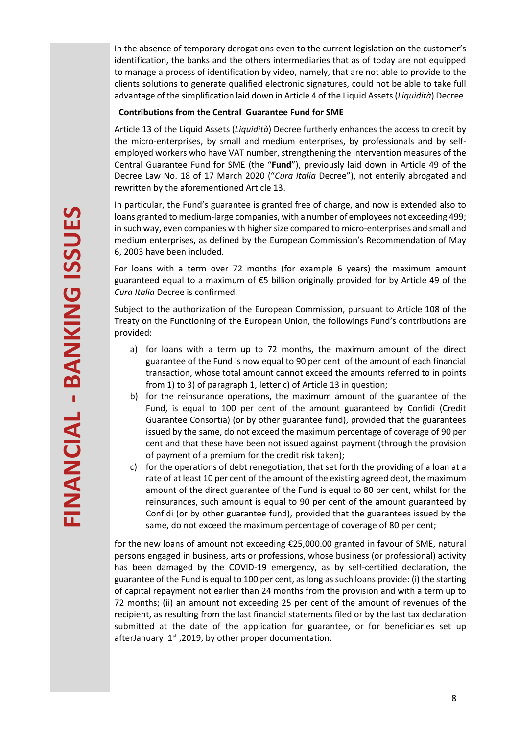In the absence of temporary derogations even to the current legislation on the customer's identification, the banks and the others intermediaries that as of today are not equipped to manage a process of identification by video, namely, that are not able to provide to the clients solutions to generate qualified electronic signatures, could not be able to take full advantage of the simplification laid down in Article 4 of the Liquid Assets (*Liquidità*) Decree.

## **Contributions from the Central Guarantee Fund for SME**

Article 13 of the Liquid Assets (*Liquidità*) Decree furtherly enhances the access to credit by the micro-enterprises, by small and medium enterprises, by professionals and by selfemployed workers who have VAT number, strengthening the intervention measures of the Central Guarantee Fund for SME (the "**Fund**"), previously laid down in Article 49 of the Decree Law No. 18 of 17 March 2020 ("*Cura Italia* Decree"), not enterily abrogated and rewritten by the aforementioned Article 13.

In particular, the Fund's guarantee is granted free of charge, and now is extended also to loans granted to medium-large companies, with a number of employees not exceeding 499; in such way, even companies with higher size compared to micro-enterprises and small and medium enterprises, as defined by the European Commission's Recommendation of May 6, 2003 have been included.

For loans with a term over 72 months (for example 6 years) the maximum amount guaranteed equal to a maximum of €5 billion originally provided for by Article 49 of the *Cura Italia* Decree is confirmed.

Subject to the authorization of the European Commission, pursuant to Article 108 of the Treaty on the Functioning of the European Union, the followings Fund's contributions are provided:

- a) for loans with a term up to 72 months, the maximum amount of the direct guarantee of the Fund is now equal to 90 per cent of the amount of each financial transaction, whose total amount cannot exceed the amounts referred to in points from 1) to 3) of paragraph 1, letter c) of Article 13 in question;
- b) for the reinsurance operations, the maximum amount of the guarantee of the Fund, is equal to 100 per cent of the amount guaranteed by Confidi (Credit Guarantee Consortia) (or by other guarantee fund), provided that the guarantees issued by the same, do not exceed the maximum percentage of coverage of 90 per cent and that these have been not issued against payment (through the provision of payment of a premium for the credit risk taken);
- c) for the operations of debt renegotiation, that set forth the providing of a loan at a rate of at least 10 per cent of the amount of the existing agreed debt, the maximum amount of the direct guarantee of the Fund is equal to 80 per cent, whilst for the reinsurances, such amount is equal to 90 per cent of the amount guaranteed by Confidi (or by other guarantee fund), provided that the guarantees issued by the same, do not exceed the maximum percentage of coverage of 80 per cent;

for the new loans of amount not exceeding €25,000.00 granted in favour of SME, natural persons engaged in business, arts or professions, whose business (or professional) activity has been damaged by the COVID-19 emergency, as by self-certified declaration, the guarantee of the Fund is equal to 100 per cent, as long as such loans provide: (i) the starting of capital repayment not earlier than 24 months from the provision and with a term up to 72 months; (ii) an amount not exceeding 25 per cent of the amount of revenues of the recipient, as resulting from the last financial statements filed or by the last tax declaration submitted at the date of the application for guarantee, or for beneficiaries set up afterJanuary  $1<sup>st</sup>$ , 2019, by other proper documentation.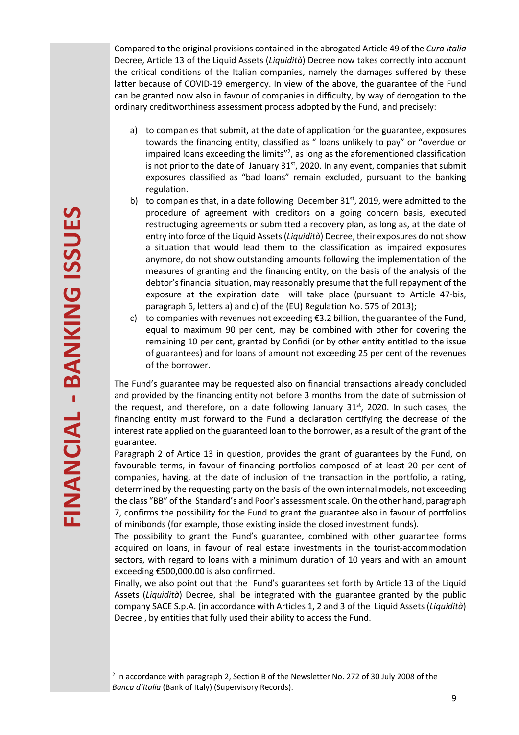Compared to the original provisions contained in the abrogated Article 49 of the *Cura Italia* Decree, Article 13 of the Liquid Assets (*Liquidità*) Decree now takes correctly into account the critical conditions of the Italian companies, namely the damages suffered by these latter because of COVID-19 emergency. In view of the above, the guarantee of the Fund can be granted now also in favour of companies in difficulty, by way of derogation to the ordinary creditworthiness assessment process adopted by the Fund, and precisely:

- a) to companies that submit, at the date of application for the guarantee, exposures towards the financing entity, classified as " loans unlikely to pay" or "overdue or impaired loans exceeding the limits<sup>"2</sup>, as long as the aforementioned classification is not prior to the date of January  $31<sup>st</sup>$ , 2020. In any event, companies that submit exposures classified as "bad loans" remain excluded, pursuant to the banking regulation.
- b) to companies that, in a date following December  $31<sup>st</sup>$ , 2019, were admitted to the procedure of agreement with creditors on a going concern basis, executed restructuging agreements or submitted a recovery plan, as long as, at the date of entry into force of the Liquid Assets(*Liquidità*) Decree, their exposures do not show a situation that would lead them to the classification as impaired exposures anymore, do not show outstanding amounts following the implementation of the measures of granting and the financing entity, on the basis of the analysis of the debtor's financial situation, may reasonably presume that the full repayment of the exposure at the expiration date will take place (pursuant to Article 47-bis, paragraph 6, letters a) and c) of the (EU) Regulation No. 575 of 2013);
- c) to companies with revenues not exceeding  $\epsilon$ 3.2 billion, the guarantee of the Fund, equal to maximum 90 per cent, may be combined with other for covering the remaining 10 per cent, granted by Confidi (or by other entity entitled to the issue of guarantees) and for loans of amount not exceeding 25 per cent of the revenues of the borrower.

The Fund's guarantee may be requested also on financial transactions already concluded and provided by the financing entity not before 3 months from the date of submission of the request, and therefore, on a date following January  $31<sup>st</sup>$ , 2020. In such cases, the financing entity must forward to the Fund a declaration certifying the decrease of the interest rate applied on the guaranteed loan to the borrower, as a result of the grant of the guarantee.

Paragraph 2 of Artice 13 in question, provides the grant of guarantees by the Fund, on favourable terms, in favour of financing portfolios composed of at least 20 per cent of companies, having, at the date of inclusion of the transaction in the portfolio, a rating, determined by the requesting party on the basis of the own internal models, not exceeding the class "BB" of the Standard's and Poor's assessment scale. On the other hand, paragraph 7, confirms the possibility for the Fund to grant the guarantee also in favour of portfolios of minibonds (for example, those existing inside the closed investment funds).

The possibility to grant the Fund's guarantee, combined with other guarantee forms acquired on loans, in favour of real estate investments in the tourist-accommodation sectors, with regard to loans with a minimum duration of 10 years and with an amount exceeding €500,000.00 is also confirmed.

Finally, we also point out that the Fund's guarantees set forth by Article 13 of the Liquid Assets (*Liquidità*) Decree, shall be integrated with the guarantee granted by the public company SACE S.p.A. (in accordance with Articles 1, 2 and 3 of the Liquid Assets (*Liquidità*) Decree , by entities that fully used their ability to access the Fund.

 $2$  In accordance with paragraph 2, Section B of the Newsletter No. 272 of 30 July 2008 of the *Banca d'Italia* (Bank of Italy) (Supervisory Records).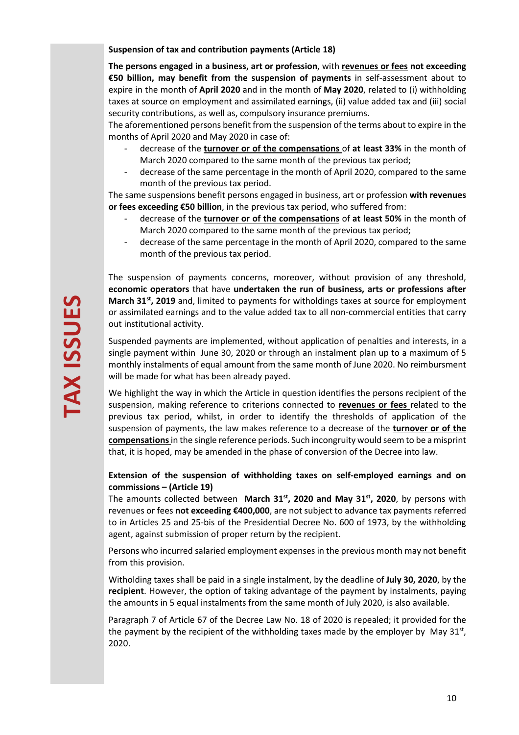**Suspension of tax and contribution payments (Article 18)**

**The persons engaged in a business, art or profession**, with **revenues or fees not exceeding €50 billion, may benefit from the suspension of payments** in self-assessment about to expire in the month of **April 2020** and in the month of **May 2020**, related to (i) withholding taxes at source on employment and assimilated earnings, (ii) value added tax and (iii) social security contributions, as well as, compulsory insurance premiums.

The aforementioned persons benefit from the suspension of the terms about to expire in the months of April 2020 and May 2020 in case of:

- decrease of the **turnover or of the compensations** of **at least 33%** in the month of March 2020 compared to the same month of the previous tax period;
- decrease of the same percentage in the month of April 2020, compared to the same month of the previous tax period.

The same suspensions benefit persons engaged in business, art or profession **with revenues or fees exceeding €50 billion**, in the previous tax period, who suffered from:

- decrease of the **turnover or of the compensations** of **at least 50%** in the month of March 2020 compared to the same month of the previous tax period;
- decrease of the same percentage in the month of April 2020, compared to the same month of the previous tax period.

The suspension of payments concerns, moreover, without provision of any threshold, **economic operators** that have **undertaken the run of business, arts or professions after March 31st, 2019** and, limited to payments for witholdings taxes at source for employment or assimilated earnings and to the value added tax to all non-commercial entities that carry out institutional activity.

Suspended payments are implemented, without application of penalties and interests, in a single payment within June 30, 2020 or through an instalment plan up to a maximum of 5 monthly instalments of equal amount from the same month of June 2020. No reimbursment will be made for what has been already payed.

We highlight the way in which the Article in question identifies the persons recipient of the suspension, making reference to criterions connected to **revenues or fees** related to the previous tax period, whilst, in order to identify the thresholds of application of the suspension of payments, the law makes reference to a decrease of the **turnover or of the compensations** in the single reference periods. Such incongruity would seem to be a misprint that, it is hoped, may be amended in the phase of conversion of the Decree into law.

## **Extension of the suspension of withholding taxes on self-employed earnings and on commissions – (Article 19)**

The amounts collected between **March 31st, 2020 and May 31st, 2020**, by persons with revenues or fees **not exceeding €400,000**, are not subject to advance tax payments referred to in Articles 25 and 25-bis of the Presidential Decree No. 600 of 1973, by the withholding agent, against submission of proper return by the recipient.

Persons who incurred salaried employment expenses in the previous month may not benefit from this provision.

Witholding taxes shall be paid in a single instalment, by the deadline of **July 30, 2020**, by the **recipient**. However, the option of taking advantage of the payment by instalments, paying the amounts in 5 equal instalments from the same month of July 2020, is also available.

Paragraph 7 of Article 67 of the Decree Law No. 18 of 2020 is repealed; it provided for the the payment by the recipient of the withholding taxes made by the employer by May  $31^{st}$ , 2020.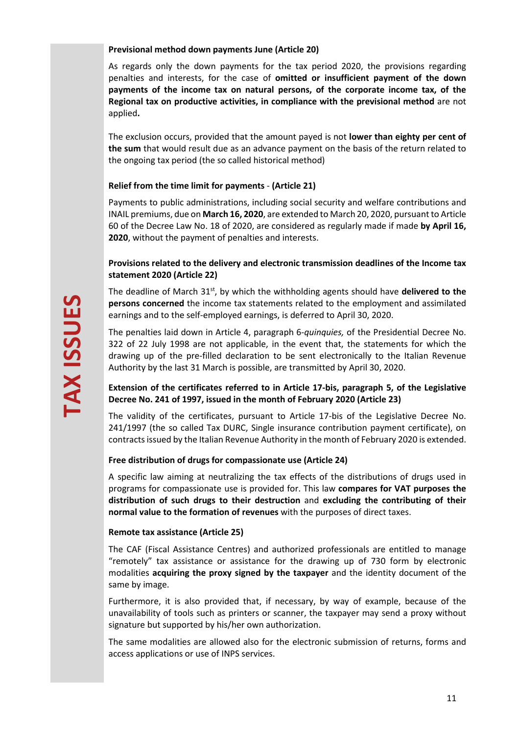#### **Previsional method down payments June (Article 20)**

As regards only the down payments for the tax period 2020, the provisions regarding penalties and interests, for the case of **omitted or insufficient payment of the down payments of the income tax on natural persons, of the corporate income tax, of the Regional tax on productive activities, in compliance with the previsional method** are not applied**.**

The exclusion occurs, provided that the amount payed is not **lower than eighty per cent of the sum** that would result due as an advance payment on the basis of the return related to the ongoing tax period (the so called historical method)

## **Relief from the time limit for payments** - **(Article 21)**

Payments to public administrations, including social security and welfare contributions and INAIL premiums, due on **March 16, 2020**, are extended to March 20, 2020, pursuant to Article 60 of the Decree Law No. 18 of 2020, are considered as regularly made if made **by April 16, 2020**, without the payment of penalties and interests.

## **Provisions related to the delivery and electronic transmission deadlines of the Income tax statement 2020 (Article 22)**

The deadline of March 31<sup>st</sup>, by which the withholding agents should have delivered to the **persons concerned** the income tax statements related to the employment and assimilated earnings and to the self-employed earnings, is deferred to April 30, 2020.

The penalties laid down in Article 4, paragraph 6-*quinquies,* of the Presidential Decree No. 322 of 22 July 1998 are not applicable, in the event that, the statements for which the drawing up of the pre-filled declaration to be sent electronically to the Italian Revenue Authority by the last 31 March is possible, are transmitted by April 30, 2020.

## **Extension of the certificates referred to in Article 17-bis, paragraph 5, of the Legislative Decree No. 241 of 1997, issued in the month of February 2020 (Article 23)**

The validity of the certificates, pursuant to Article 17-bis of the Legislative Decree No. 241/1997 (the so called Tax DURC, Single insurance contribution payment certificate), on contracts issued by the Italian Revenue Authority in the month of February 2020 is extended.

#### **Free distribution of drugs for compassionate use (Article 24)**

A specific law aiming at neutralizing the tax effects of the distributions of drugs used in programs for compassionate use is provided for. This law **compares for VAT purposes the distribution of such drugs to their destruction** and **excluding the contributing of their normal value to the formation of revenues** with the purposes of direct taxes.

#### **Remote tax assistance (Article 25)**

The CAF (Fiscal Assistance Centres) and authorized professionals are entitled to manage "remotely" tax assistance or assistance for the drawing up of 730 form by electronic modalities **acquiring the proxy signed by the taxpayer** and the identity document of the same by image.

Furthermore, it is also provided that, if necessary, by way of example, because of the unavailability of tools such as printers or scanner, the taxpayer may send a proxy without signature but supported by his/her own authorization.

The same modalities are allowed also for the electronic submission of returns, forms and access applications or use of INPS services.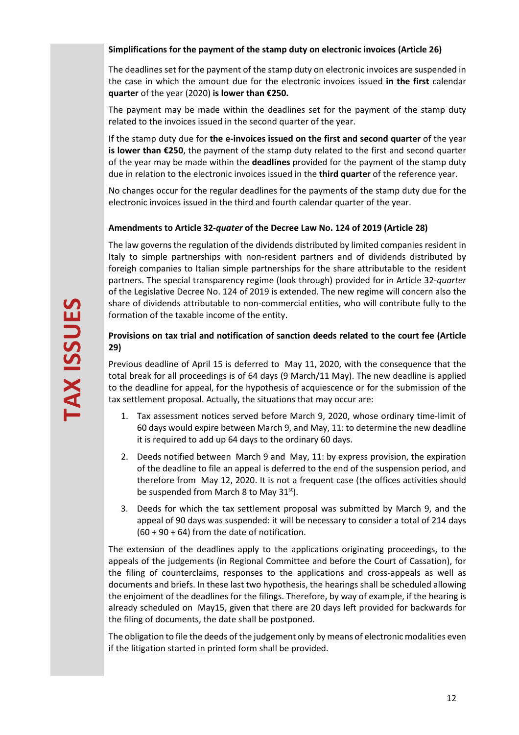## **Simplifications for the payment of the stamp duty on electronic invoices (Article 26)**

The deadlines set for the payment of the stamp duty on electronic invoices are suspended in the case in which the amount due for the electronic invoices issued **in the first** calendar **quarter** of the year (2020) **is lower than €250.** 

The payment may be made within the deadlines set for the payment of the stamp duty related to the invoices issued in the second quarter of the year.

If the stamp duty due for **the e-invoices issued on the first and second quarter** of the year **is lower than €250**, the payment of the stamp duty related to the first and second quarter of the year may be made within the **deadlines** provided for the payment of the stamp duty due in relation to the electronic invoices issued in the **third quarter** of the reference year.

No changes occur for the regular deadlines for the payments of the stamp duty due for the electronic invoices issued in the third and fourth calendar quarter of the year.

## **Amendments to Article 32-***quater* **of the Decree Law No. 124 of 2019 (Article 28)**

The law governs the regulation of the dividends distributed by limited companies resident in Italy to simple partnerships with non-resident partners and of dividends distributed by foreigh companies to Italian simple partnerships for the share attributable to the resident partners. The special transparency regime (look through) provided for in Article 32-*quarter* of the Legislative Decree No. 124 of 2019 is extended. The new regime will concern also the share of dividends attributable to non-commercial entities, who will contribute fully to the formation of the taxable income of the entity.

## **Provisions on tax trial and notification of sanction deeds related to the court fee (Article 29)**

Previous deadline of April 15 is deferred to May 11, 2020, with the consequence that the total break for all proceedings is of 64 days (9 March/11 May). The new deadline is applied to the deadline for appeal, for the hypothesis of acquiescence or for the submission of the tax settlement proposal. Actually, the situations that may occur are:

- 1. Tax assessment notices served before March 9, 2020, whose ordinary time-limit of 60 days would expire between March 9, and May, 11: to determine the new deadline it is required to add up 64 days to the ordinary 60 days.
- 2. Deeds notified between March 9 and May, 11: by express provision, the expiration of the deadline to file an appeal is deferred to the end of the suspension period, and therefore from May 12, 2020. It is not a frequent case (the offices activities should be suspended from March 8 to May  $31<sup>st</sup>$ .
- 3. Deeds for which the tax settlement proposal was submitted by March 9, and the appeal of 90 days was suspended: it will be necessary to consider a total of 214 days  $(60 + 90 + 64)$  from the date of notification.

The extension of the deadlines apply to the applications originating proceedings, to the appeals of the judgements (in Regional Committee and before the Court of Cassation), for the filing of counterclaims, responses to the applications and cross-appeals as well as documents and briefs. In these last two hypothesis, the hearings shall be scheduled allowing the enjoiment of the deadlines for the filings. Therefore, by way of example, if the hearing is already scheduled on May15, given that there are 20 days left provided for backwards for the filing of documents, the date shall be postponed.

The obligation to file the deeds of the judgement only by means of electronic modalities even if the litigation started in printed form shall be provided.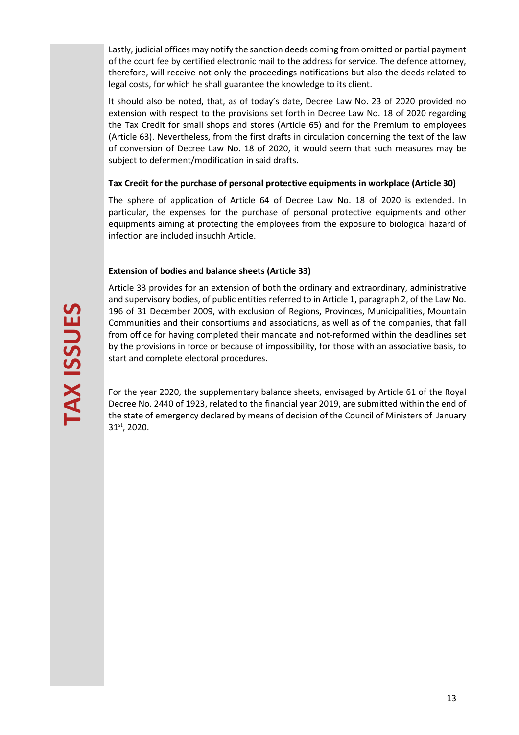Lastly, judicial offices may notify the sanction deeds coming from omitted or partial payment of the court fee by certified electronic mail to the address for service. The defence attorney, therefore, will receive not only the proceedings notifications but also the deeds related to legal costs, for which he shall guarantee the knowledge to its client.

It should also be noted, that, as of today's date, Decree Law No. 23 of 2020 provided no extension with respect to the provisions set forth in Decree Law No. 18 of 2020 regarding the Tax Credit for small shops and stores (Article 65) and for the Premium to employees (Article 63). Nevertheless, from the first drafts in circulation concerning the text of the law of conversion of Decree Law No. 18 of 2020, it would seem that such measures may be subject to deferment/modification in said drafts.

## **Tax Credit for the purchase of personal protective equipments in workplace (Article 30)**

The sphere of application of Article 64 of Decree Law No. 18 of 2020 is extended. In particular, the expenses for the purchase of personal protective equipments and other equipments aiming at protecting the employees from the exposure to biological hazard of infection are included insuchh Article.

## **Extension of bodies and balance sheets (Article 33)**

Article 33 provides for an extension of both the ordinary and extraordinary, administrative and supervisory bodies, of public entities referred to in Article 1, paragraph 2, of the Law No. 196 of 31 December 2009, with exclusion of Regions, Provinces, Municipalities, Mountain Communities and their consortiums and associations, as well as of the companies, that fall from office for having completed their mandate and not-reformed within the deadlines set by the provisions in force or because of impossibility, for those with an associative basis, to start and complete electoral procedures.

For the year 2020, the supplementary balance sheets, envisaged by Article 61 of the Royal Decree No. 2440 of 1923, related to the financial year 2019, are submitted within the end of the state of emergency declared by means of decision of the Council of Ministers of January 31st, 2020.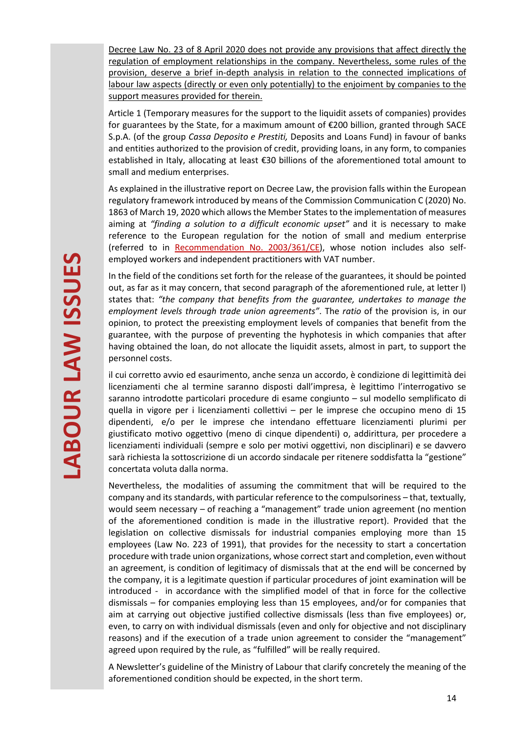Decree Law No. 23 of 8 April 2020 does not provide any provisions that affect directly the regulation of employment relationships in the company. Nevertheless, some rules of the provision, deserve a brief in-depth analysis in relation to the connected implications of labour law aspects (directly or even only potentially) to the enjoiment by companies to the support measures provided for therein.

Article 1 (Temporary measures for the support to the liquidit assets of companies) provides for guarantees by the State, for a maximum amount of €200 billion, granted through SACE S.p.A. (of the group *Cassa Deposito e Prestiti,* Deposits and Loans Fund) in favour of banks and entities authorized to the provision of credit, providing loans, in any form, to companies established in Italy, allocating at least €30 billions of the aforementioned total amount to small and medium enterprises.

As explained in the illustrative report on Decree Law, the provision falls within the European regulatory framework introduced by means of the Commission Communication C (2020) No. 1863 of March 19, 2020 which allows the Member States to the implementation of measures aiming at *"finding a solution to a difficult economic upset"* and it is necessary to make reference to the European regulation for the notion of small and medium enterprise (referred to in Recommendation No. 2003/361/CE), whose notion includes also selfemployed workers and independent practitioners with VAT number.

In the field of the conditions set forth for the release of the guarantees, it should be pointed out, as far as it may concern, that second paragraph of the aforementioned rule, at letter l) states that: *"the company that benefits from the guarantee, undertakes to manage the employment levels through trade union agreements"*. The *ratio* of the provision is, in our opinion, to protect the preexisting employment levels of companies that benefit from the guarantee, with the purpose of preventing the hyphotesis in which companies that after having obtained the loan, do not allocate the liquidit assets, almost in part, to support the personnel costs.

il cui corretto avvio ed esaurimento, anche senza un accordo, è condizione di legittimità dei licenziamenti che al termine saranno disposti dall'impresa, è legittimo l'interrogativo se saranno introdotte particolari procedure di esame congiunto – sul modello semplificato di quella in vigore per i licenziamenti collettivi – per le imprese che occupino meno di 15 dipendenti, e/o per le imprese che intendano effettuare licenziamenti plurimi per giustificato motivo oggettivo (meno di cinque dipendenti) o, addirittura, per procedere a licenziamenti individuali (sempre e solo per motivi oggettivi, non disciplinari) e se davvero sarà richiesta la sottoscrizione di un accordo sindacale per ritenere soddisfatta la "gestione" concertata voluta dalla norma.

Nevertheless, the modalities of assuming the commitment that will be required to the company and its standards, with particular reference to the compulsoriness – that, textually, would seem necessary – of reaching a "management" trade union agreement (no mention of the aforementioned condition is made in the illustrative report). Provided that the legislation on collective dismissals for industrial companies employing more than 15 employees (Law No. 223 of 1991), that provides for the necessity to start a concertation procedure with trade union organizations, whose correct start and completion, even without an agreement, is condition of legitimacy of dismissals that at the end will be concerned by the company, it is a legitimate question if particular procedures of joint examination will be introduced - in accordance with the simplified model of that in force for the collective dismissals – for companies employing less than 15 employees, and/or for companies that aim at carrying out objective justified collective dismissals (less than five employees) or, even, to carry on with individual dismissals (even and only for objective and not disciplinary reasons) and if the execution of a trade union agreement to consider the "management" agreed upon required by the rule, as "fulfilled" will be really required.

A Newsletter's guideline of the Ministry of Labour that clarify concretely the meaning of the aforementioned condition should be expected, in the short term.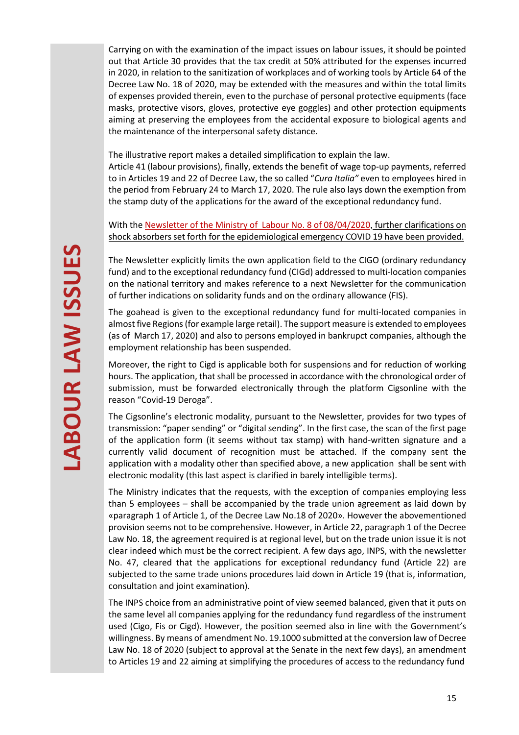Carrying on with the examination of the impact issues on labour issues, it should be pointed out that Article 30 provides that the tax credit at 50% attributed for the expenses incurred in 2020, in relation to the sanitization of workplaces and of working tools by Article 64 of the Decree Law No. 18 of 2020, may be extended with the measures and within the total limits of expenses provided therein, even to the purchase of personal protective equipments (face masks, protective visors, gloves, protective eye goggles) and other protection equipments aiming at preserving the employees from the accidental exposure to biological agents and the maintenance of the interpersonal safety distance.

The illustrative report makes a detailed simplification to explain the law.

Article 41 (labour provisions), finally, extends the benefit of wage top-up payments, referred to in Articles 19 and 22 of Decree Law, the so called "*Cura Italia"* even to employees hired in the period from February 24 to March 17, 2020. The rule also lays down the exemption from the stamp duty of the applications for the award of the exceptional redundancy fund.

With the Newsletter of the Ministry of Labour No. 8 of 08/04/2020, further clarifications on shock absorbers set forth for the epidemiological emergency COVID 19 have been provided.

The Newsletter explicitly limits the own application field to the CIGO (ordinary redundancy fund) and to the exceptional redundancy fund (CIGd) addressed to multi-location companies on the national territory and makes reference to a next Newsletter for the communication of further indications on solidarity funds and on the ordinary allowance (FIS).

The goahead is given to the exceptional redundancy fund for multi-located companies in almost five Regions (for example large retail). The support measure is extended to employees (as of March 17, 2020) and also to persons employed in bankrupct companies, although the employment relationship has been suspended.

Moreover, the right to Cigd is applicable both for suspensions and for reduction of working hours. The application, that shall be processed in accordance with the chronological order of submission, must be forwarded electronically through the platform Cigsonline with the reason "Covid-19 Deroga".

The Cigsonline's electronic modality, pursuant to the Newsletter, provides for two types of transmission: "paper sending" or "digital sending". In the first case, the scan of the first page of the application form (it seems without tax stamp) with hand-written signature and a currently valid document of recognition must be attached. If the company sent the application with a modality other than specified above, a new application shall be sent with electronic modality (this last aspect is clarified in barely intelligible terms).

The Ministry indicates that the requests, with the exception of companies employing less than 5 employees – shall be accompanied by the trade union agreement as laid down by «paragraph 1 of Article 1, of the Decree Law No.18 of 2020». However the abovementioned provision seems not to be comprehensive. However, in Article 22, paragraph 1 of the Decree Law No. 18, the agreement required is at regional level, but on the trade union issue it is not clear indeed which must be the correct recipient. A few days ago, INPS, with the newsletter No. 47, cleared that the applications for exceptional redundancy fund (Article 22) are subjected to the same trade unions procedures laid down in Article 19 (that is, information, consultation and joint examination).

The INPS choice from an administrative point of view seemed balanced, given that it puts on the same level all companies applying for the redundancy fund regardless of the instrument used (Cigo, Fis or Cigd). However, the position seemed also in line with the Government's willingness. By means of amendment No. 19.1000 submitted at the conversion law of Decree Law No. 18 of 2020 (subject to approval at the Senate in the next few days), an amendment to Articles 19 and 22 aiming at simplifying the procedures of access to the redundancy fund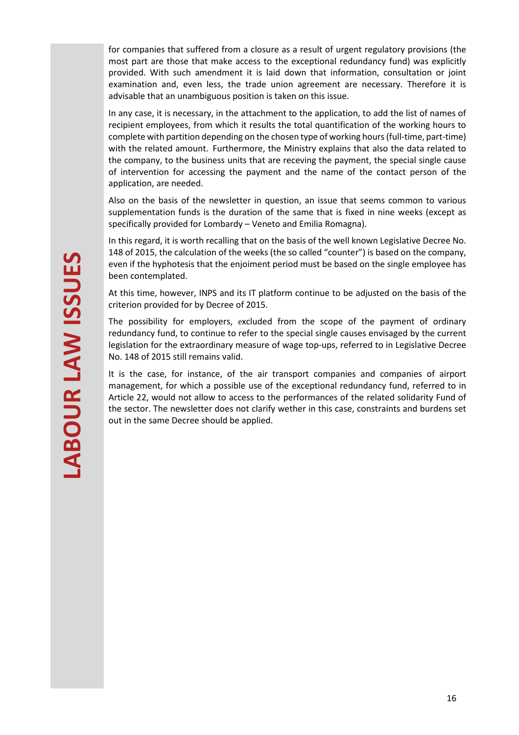for companies that suffered from a closure as a result of urgent regulatory provisions (the most part are those that make access to the exceptional redundancy fund) was explicitly provided. With such amendment it is laid down that information, consultation or joint examination and, even less, the trade union agreement are necessary. Therefore it is advisable that an unambiguous position is taken on this issue.

In any case, it is necessary, in the attachment to the application, to add the list of names of recipient employees, from which it results the total quantification of the working hours to complete with partition depending on the chosen type of working hours (full-time, part-time) with the related amount. Furthermore, the Ministry explains that also the data related to the company, to the business units that are receving the payment, the special single cause of intervention for accessing the payment and the name of the contact person of the application, are needed.

Also on the basis of the newsletter in question, an issue that seems common to various supplementation funds is the duration of the same that is fixed in nine weeks (except as specifically provided for Lombardy – Veneto and Emilia Romagna).

In this regard, it is worth recalling that on the basis of the well known Legislative Decree No. 148 of 2015, the calculation of the weeks (the so called "counter") is based on the company, even if the hyphotesis that the enjoiment period must be based on the single employee has been contemplated.

At this time, however, INPS and its IT platform continue to be adjusted on the basis of the criterion provided for by Decree of 2015.

The possibility for employers, excluded from the scope of the payment of ordinary redundancy fund, to continue to refer to the special single causes envisaged by the current legislation for the extraordinary measure of wage top-ups, referred to in Legislative Decree No. 148 of 2015 still remains valid.

It is the case, for instance, of the air transport companies and companies of airport management, for which a possible use of the exceptional redundancy fund, referred to in Article 22, would not allow to access to the performances of the related solidarity Fund of the sector. The newsletter does not clarify wether in this case, constraints and burdens set out in the same Decree should be applied.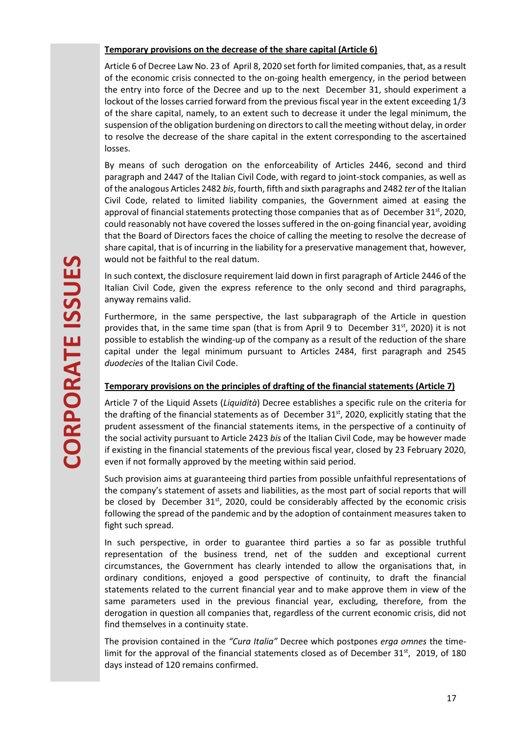## **Temporary provisions on the decrease of the share capital (Article 6)**

Article 6 of Decree Law No. 23 of April 8, 2020 set forth for limited companies, that, as a result of the economic crisis connected to the on-going health emergency, in the period between the entry into force of the Decree and up to the next December 31, should experiment a lockout of the losses carried forward from the previous fiscal year in the extent exceeding 1/3 of the share capital, namely, to an extent such to decrease it under the legal minimum, the suspension of the obligation burdening on directors to call the meeting without delay, in order to resolve the decrease of the share capital in the extent corresponding to the ascertained losses.

By means of such derogation on the enforceability of Articles 2446, second and third paragraph and 2447 of the Italian Civil Code, with regard to joint-stock companies, as well as of the analogous Articles 2482 *bis*, fourth, fifth and sixth paragraphs and 2482 *ter* of the Italian Civil Code, related to limited liability companies, the Government aimed at easing the approval of financial statements protecting those companies that as of December 31 $\mathrm{^{st}}$ , 2020, could reasonably not have covered the losses suffered in the on-going financial year, avoiding that the Board of Directors faces the choice of calling the meeting to resolve the decrease of share capital, that is of incurring in the liability for a preservative management that, however, would not be faithful to the real datum.

In such context, the disclosure requirement laid down in first paragraph of Article 2446 of the Italian Civil Code, given the express reference to the only second and third paragraphs, anyway remains valid.

Furthermore, in the same perspective, the last subparagraph of the Article in question provides that, in the same time span (that is from April 9 to December  $31^{st}$ , 2020) it is not possible to establish the winding-up of the company as a result of the reduction of the share capital under the legal minimum pursuant to Articles 2484, first paragraph and 2545 *duodecies* of the Italian Civil Code.

# **Temporary provisions on the principles of drafting of the financial statements (Article 7)**

Article 7 of the Liquid Assets (*Liquidità*) Decree establishes a specific rule on the criteria for the drafting of the financial statements as of December 31<sup>st</sup>, 2020, explicitly stating that the prudent assessment of the financial statements items, in the perspective of a continuity of the social activity pursuant to Article 2423 *bis* of the Italian Civil Code, may be however made if existing in the financial statements of the previous fiscal year, closed by 23 February 2020, even if not formally approved by the meeting within said period.

Such provision aims at guaranteeing third parties from possible unfaithful representations of the company's statement of assets and liabilities, as the most part of social reports that will be closed by December  $31<sup>st</sup>$ , 2020, could be considerably affected by the economic crisis following the spread of the pandemic and by the adoption of containment measures taken to fight such spread.

In such perspective, in order to guarantee third parties a so far as possible truthful representation of the business trend, net of the sudden and exceptional current circumstances, the Government has clearly intended to allow the organisations that, in ordinary conditions, enjoyed a good perspective of continuity, to draft the financial statements related to the current financial year and to make approve them in view of the same parameters used in the previous financial year, excluding, therefore, from the derogation in question all companies that, regardless of the current economic crisis, did not find themselves in a continuity state.

The provision contained in the *"Cura Italia"* Decree which postpones *erga omnes* the timelimit for the approval of the financial statements closed as of December 31<sup>st</sup>, 2019, of 180 days instead of 120 remains confirmed.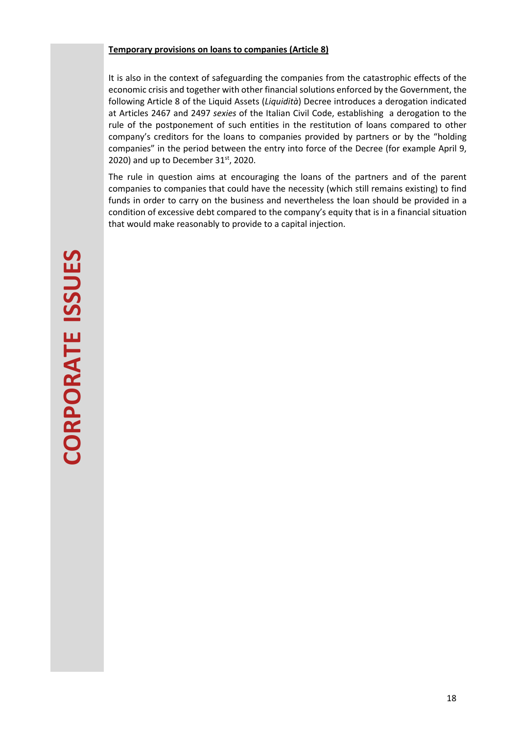#### **Temporary provisions on loans to companies (Article 8)**

It is also in the context of safeguarding the companies from the catastrophic effects of the economic crisis and together with other financial solutions enforced by the Government, the following Article 8 of the Liquid Assets (*Liquidità*) Decree introduces a derogation indicated at Articles 2467 and 2497 *sexies* of the Italian Civil Code, establishing a derogation to the rule of the postponement of such entities in the restitution of loans compared to other company's creditors for the loans to companies provided by partners or by the "holding companies" in the period between the entry into force of the Decree (for example April 9, 2020) and up to December  $31^{st}$ , 2020.

The rule in question aims at encouraging the loans of the partners and of the parent companies to companies that could have the necessity (which still remains existing) to find funds in order to carry on the business and nevertheless the loan should be provided in a condition of excessive debt compared to the company's equity that is in a financial situation that would make reasonably to provide to a capital injection.